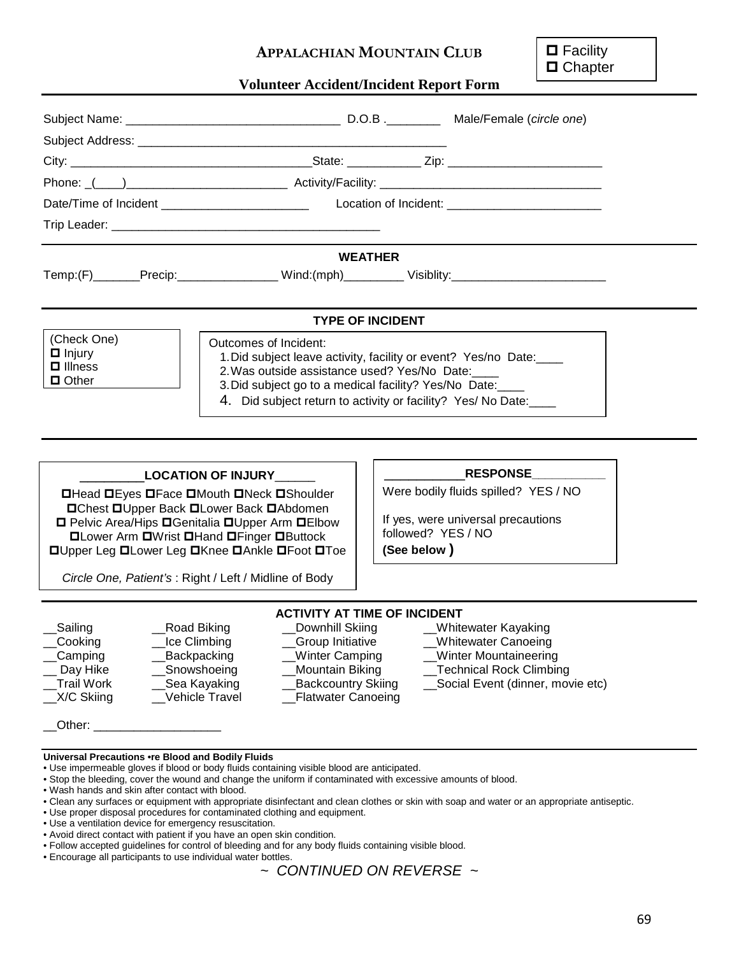## **APPALACHIAN MOUNTAIN CLUB**

**□** Facility □ Chapter

## **Volunteer Accident/Incident Report Form**

|                                                                                                                                                                                                                                                                    |                                                                                                                                                                                                                                                                  | <b>WEATHER</b>                    |                                                                            |  |
|--------------------------------------------------------------------------------------------------------------------------------------------------------------------------------------------------------------------------------------------------------------------|------------------------------------------------------------------------------------------------------------------------------------------------------------------------------------------------------------------------------------------------------------------|-----------------------------------|----------------------------------------------------------------------------|--|
|                                                                                                                                                                                                                                                                    | Temp:(F)_______Precip:________________Wind:(mph)__________Visiblity:_______________________________                                                                                                                                                              |                                   |                                                                            |  |
|                                                                                                                                                                                                                                                                    |                                                                                                                                                                                                                                                                  |                                   |                                                                            |  |
|                                                                                                                                                                                                                                                                    |                                                                                                                                                                                                                                                                  | <b>TYPE OF INCIDENT</b>           |                                                                            |  |
| (Check One)<br>$\Box$ Injury<br>$\Box$ Illness<br>$\Box$ Other                                                                                                                                                                                                     | Outcomes of Incident:<br>1. Did subject leave activity, facility or event? Yes/no Date:<br>2. Was outside assistance used? Yes/No Date:<br>3. Did subject go to a medical facility? Yes/No Date:<br>4. Did subject return to activity or facility? Yes/ No Date: |                                   |                                                                            |  |
|                                                                                                                                                                                                                                                                    |                                                                                                                                                                                                                                                                  |                                   |                                                                            |  |
| LOCATION OF INJURY _____                                                                                                                                                                                                                                           |                                                                                                                                                                                                                                                                  |                                   | <b>RESPONSE</b>                                                            |  |
| <b>OHead DEyes OFace OMouth ONeck OShoulder</b><br><b>□Chest □Upper Back □Lower Back □Abdomen</b><br>□ Pelvic Area/Hips □ Genitalia □ Upper Arm □ Elbow<br><b>OLower Arm OWrist OHand OFinger OButtock</b><br><b>OUpper Leg OLower Leg OKnee OAnkle OFoot OToe</b> |                                                                                                                                                                                                                                                                  | followed? YES / NO<br>(See below) | Were bodily fluids spilled? YES / NO<br>If yes, were universal precautions |  |
|                                                                                                                                                                                                                                                                    | Circle One, Patient's: Right / Left / Midline of Body                                                                                                                                                                                                            |                                   |                                                                            |  |
|                                                                                                                                                                                                                                                                    | <b>ACTIVITY AT TIME OF INCIDENT</b>                                                                                                                                                                                                                              |                                   |                                                                            |  |

\_\_Camping \_\_\_\_\_\_\_\_\_\_Backpacking \_\_\_\_\_\_\_\_Winter Camping \_\_\_\_\_Winter Mountaineering \_\_ Day Hike \_\_Snowshoeing \_\_Mountain Biking \_\_Technical Rock Climbing<br>\_\_Trail Work \_\_Sea Kayaking \_\_Backcountry Skiing \_\_Social Event (dinner, mov \_X/C Skiing \_\_\_\_\_Vehicle Travel \_\_\_\_\_\_\_Flatwater Canoeing

# \_Sailing \_\_Road Biking \_\_Downhill Skiing \_\_Whitewater Kayaking \_\_Cooking \_\_Ice Climbing \_\_Group Initiative \_\_Whitewater Canoeing

- 
- 
- 
- \_\_Trail Work \_\_Sea Kayaking \_\_Backcountry Skiing \_\_Social Event (dinner, movie etc)

 $\Box$  Other:  $\Box$ 

### **Universal Precautions •re Blood and Bodily Fluids**

- Use impermeable gloves if blood or body fluids containing visible blood are anticipated.
- Stop the bleeding, cover the wound and change the uniform if contaminated with excessive amounts of blood.
- Wash hands and skin after contact with blood.
- Clean any surfaces or equipment with appropriate disinfectant and clean clothes or skin with soap and water or an appropriate antiseptic.
- Use proper disposal procedures for contaminated clothing and equipment.
- Use a ventilation device for emergency resuscitation.
- Avoid direct contact with patient if you have an open skin condition.
- Follow accepted guidelines for control of bleeding and for any body fluids containing visible blood. • Encourage all participants to use individual water bottles.

*~ CONTINUED ON REVERSE ~*